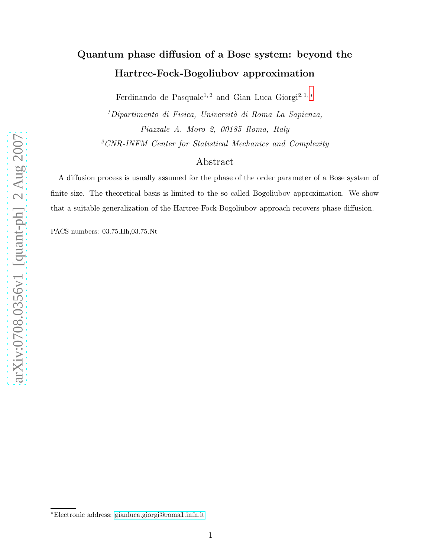# Quantum phase diffusion of a Bose system: beyond the Hartree-Fock-Bogoliubov approximation

Ferdinando de Pasquale<sup>1, 2</sup> and Gian Luca Giorgi<sup>2, 1, \*</sup>

 $1$ Dipartimento di Fisica, Università di Roma La Sapienza, Piazzale A. Moro 2, 00185 Roma, Italy <sup>2</sup>CNR-INFM Center for Statistical Mechanics and Complexity

## Abstract

A diffusion process is usually assumed for the phase of the order parameter of a Bose system of finite size. The theoretical basis is limited to the so called Bogoliubov approximation. We show that a suitable generalization of the Hartree-Fock-Bogoliubov approach recovers phase diffusion.

PACS numbers: 03.75.Hh,03.75.Nt

<span id="page-0-0"></span><sup>∗</sup>Electronic address: [gianluca.giorgi@roma1.infn.it](mailto:gianluca.giorgi@roma1.infn.it)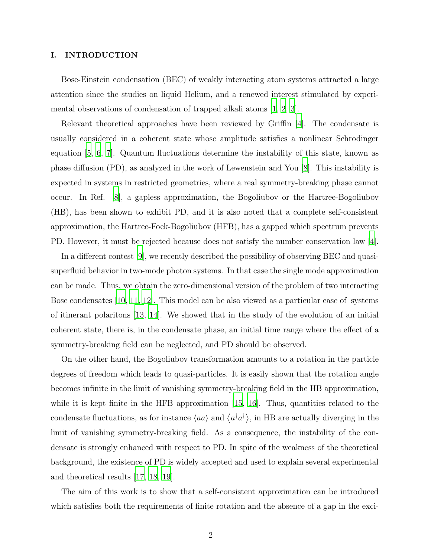#### I. INTRODUCTION

Bose-Einstein condensation (BEC) of weakly interacting atom systems attracted a large attention since the studies on liquid Helium, and a renewed interest stimulated by experimental observations of condensation of trapped alkali atoms [\[1,](#page-8-0) [2,](#page-9-0) [3\]](#page-9-1).

Relevant theoretical approaches have been reviewed by Griffin [\[4\]](#page-9-2). The condensate is usually considered in a coherent state whose amplitude satisfies a nonlinear Schrodinger equation [\[5](#page-9-3), [6](#page-9-4), [7](#page-9-5)]. Quantum fluctuations determine the instability of this state, known as phase diffusion (PD), as analyzed in the work of Lewenstein and You [\[8](#page-9-6)]. This instability is expected in systems in restricted geometries, where a real symmetry-breaking phase cannot occur. In Ref. [\[8](#page-9-6)], a gapless approximation, the Bogoliubov or the Hartree-Bogoliubov (HB), has been shown to exhibit PD, and it is also noted that a complete self-consistent approximation, the Hartree-Fock-Bogoliubov (HFB), has a gapped which spectrum prevents PD. However, it must be rejected because does not satisfy the number conservation law [\[4\]](#page-9-2).

In a different contest [\[9](#page-9-7)], we recently described the possibility of observing BEC and quasisuperfluid behavior in two-mode photon systems. In that case the single mode approximation can be made. Thus, we obtain the zero-dimensional version of the problem of two interacting Bose condensates [\[10,](#page-9-8) [11](#page-9-9), [12\]](#page-9-10). This model can be also viewed as a particular case of systems of itinerant polaritons [\[13,](#page-9-11) [14](#page-9-12)]. We showed that in the study of the evolution of an initial coherent state, there is, in the condensate phase, an initial time range where the effect of a symmetry-breaking field can be neglected, and PD should be observed.

On the other hand, the Bogoliubov transformation amounts to a rotation in the particle degrees of freedom which leads to quasi-particles. It is easily shown that the rotation angle becomes infinite in the limit of vanishing symmetry-breaking field in the HB approximation, while it is kept finite in the HFB approximation  $[15, 16]$  $[15, 16]$  $[15, 16]$ . Thus, quantities related to the condensate fluctuations, as for instance  $\langle aa \rangle$  and  $\langle a^{\dagger}a^{\dagger} \rangle$ , in HB are actually diverging in the limit of vanishing symmetry-breaking field. As a consequence, the instability of the condensate is strongly enhanced with respect to PD. In spite of the weakness of the theoretical background, the existence of PD is widely accepted and used to explain several experimental and theoretical results [\[17,](#page-9-15) [18,](#page-9-16) [19\]](#page-9-17).

The aim of this work is to show that a self-consistent approximation can be introduced which satisfies both the requirements of finite rotation and the absence of a gap in the exci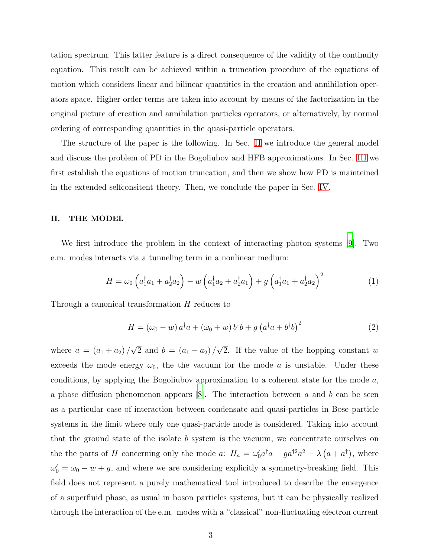tation spectrum. This latter feature is a direct consequence of the validity of the continuity equation. This result can be achieved within a truncation procedure of the equations of motion which considers linear and bilinear quantities in the creation and annihilation operators space. Higher order terms are taken into account by means of the factorization in the original picture of creation and annihilation particles operators, or alternatively, by normal ordering of corresponding quantities in the quasi-particle operators.

The structure of the paper is the following. In Sec. [II](#page-2-0) we introduce the general model and discuss the problem of PD in the Bogoliubov and HFB approximations. In Sec. [III](#page-4-0) we first establish the equations of motion truncation, and then we show how PD is mainteined in the extended selfconsitent theory. Then, we conclude the paper in Sec. [IV.](#page-7-0)

#### <span id="page-2-0"></span>II. THE MODEL

We first introduce the problem in the context of interacting photon systems [\[9\]](#page-9-7). Two e.m. modes interacts via a tunneling term in a nonlinear medium:

$$
H = \omega_0 \left( a_1^{\dagger} a_1 + a_2^{\dagger} a_2 \right) - w \left( a_1^{\dagger} a_2 + a_2^{\dagger} a_1 \right) + g \left( a_1^{\dagger} a_1 + a_2^{\dagger} a_2 \right)^2 \tag{1}
$$

Through a canonical transformation H reduces to

$$
H = (\omega_0 - w) a^{\dagger} a + (\omega_0 + w) b^{\dagger} b + g (a^{\dagger} a + b^{\dagger} b)^2
$$
 (2)

where  $a = (a_1 + a_2)/\sqrt{2}$  and  $b = (a_1 - a_2)/\sqrt{2}$ . If the value of the hopping constant w exceeds the mode energy  $\omega_0$ , the the vacuum for the mode a is unstable. Under these conditions, by applying the Bogoliubov approximation to a coherent state for the mode  $a$ , a phase diffusion phenomenon appears  $[8]$ . The interaction between a and b can be seen as a particular case of interaction between condensate and quasi-particles in Bose particle systems in the limit where only one quasi-particle mode is considered. Taking into account that the ground state of the isolate b system is the vacuum, we concentrate ourselves on the the parts of H concerning only the mode a:  $H_a = \omega_0' a^{\dagger} a + g a^{\dagger} a^2 - \lambda (a + a^{\dagger})$ , where  $\omega_0' = \omega_0 - w + g$ , and where we are considering explicitly a symmetry-breaking field. This field does not represent a purely mathematical tool introduced to describe the emergence of a superfluid phase, as usual in boson particles systems, but it can be physically realized through the interaction of the e.m. modes with a "classical" non-fluctuating electron current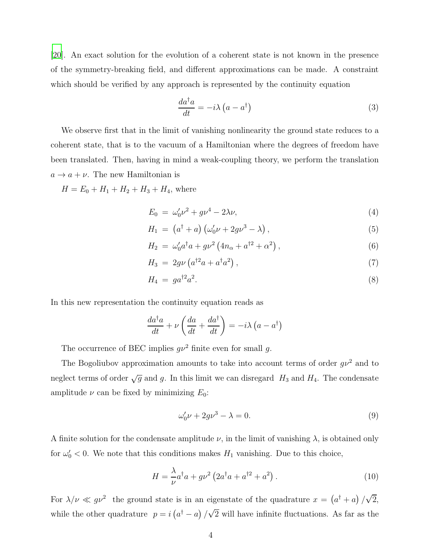[\[20\]](#page-9-18). An exact solution for the evolution of a coherent state is not known in the presence of the symmetry-breaking field, and different approximations can be made. A constraint which should be verified by any approach is represented by the continuity equation

$$
\frac{da^{\dagger}a}{dt} = -i\lambda \left( a - a^{\dagger} \right) \tag{3}
$$

We observe first that in the limit of vanishing nonlinearity the ground state reduces to a coherent state, that is to the vacuum of a Hamiltonian where the degrees of freedom have been translated. Then, having in mind a weak-coupling theory, we perform the translation  $a \rightarrow a + \nu$ . The new Hamiltonian is

 $H = E_0 + H_1 + H_2 + H_3 + H_4$ , where

$$
E_0 = \omega_0' \nu^2 + g\nu^4 - 2\lambda \nu,\tag{4}
$$

$$
H_1 = (a^{\dagger} + a) (\omega'_0 \nu + 2g\nu^3 - \lambda) , \qquad (5)
$$

$$
H_2 = \omega'_0 a^\dagger a + g\nu^2 \left(4n_\alpha + a^{\dagger 2} + \alpha^2\right),\tag{6}
$$

$$
H_3 = 2g\nu \left( a^{\dagger 2}a + a^{\dagger}a^2 \right), \tag{7}
$$

$$
H_4 = ga^{\dagger 2}a^2. \tag{8}
$$

In this new representation the continuity equation reads as

$$
\frac{da^{\dagger}a}{dt} + \nu \left(\frac{da}{dt} + \frac{da^{\dagger}}{dt}\right) = -i\lambda \left(a - a^{\dagger}\right)
$$

The occurrence of BEC implies  $g\nu^2$  finite even for small g.

The Bogoliubov approximation amounts to take into account terms of order  $g\nu^2$  and to neglect terms of order  $\sqrt{g}$  and g. In this limit we can disregard  $H_3$  and  $H_4$ . The condensate amplitude  $\nu$  can be fixed by minimizing  $E_0$ :

$$
\omega_0' \nu + 2g\nu^3 - \lambda = 0. \tag{9}
$$

A finite solution for the condensate amplitude  $\nu$ , in the limit of vanishing  $\lambda$ , is obtained only for  $\omega_0' < 0$ . We note that this conditions makes  $H_1$  vanishing. Due to this choice,

$$
H = \frac{\lambda}{\nu} a^{\dagger} a + g \nu^{2} \left( 2a^{\dagger} a + a^{\dagger 2} + a^{2} \right).
$$
 (10)

For  $\lambda/\nu \ll g\nu^2$  the ground state is in an eigenstate of the quadrature  $x = (a^{\dagger} + a)/\sqrt{2}$ , while the other quadrature  $p = i(a^{\dagger} - a)/\sqrt{2}$  will have infinite fluctuations. As far as the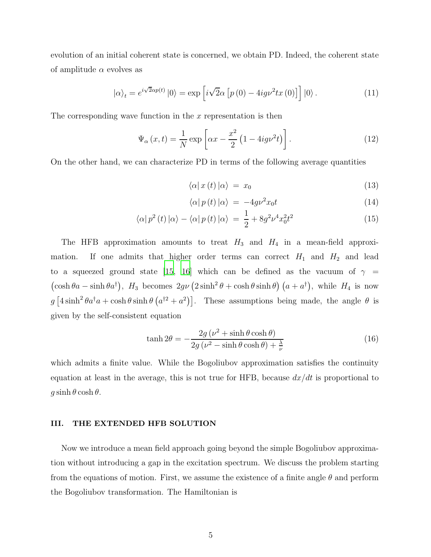evolution of an initial coherent state is concerned, we obtain PD. Indeed, the coherent state of amplitude  $\alpha$  evolves as

$$
|\alpha\rangle_t = e^{i\sqrt{2}\alpha p(t)}|0\rangle = \exp\left[i\sqrt{2}\alpha \left[p(0) - 4ig\nu^2 t x(0)\right]\right]|0\rangle. \tag{11}
$$

The corresponding wave function in the  $x$  representation is then

$$
\Psi_{\alpha}(x,t) = \frac{1}{N} \exp\left[\alpha x - \frac{x^2}{2} \left(1 - 4ig\nu^2 t\right)\right].
$$
\n(12)

On the other hand, we can characterize PD in terms of the following average quantities

$$
\langle \alpha | x(t) | \alpha \rangle = x_0 \tag{13}
$$

$$
\langle \alpha | p(t) | \alpha \rangle = -4g\nu^2 x_0 t \tag{14}
$$

$$
\langle \alpha | p^2(t) | \alpha \rangle - \langle \alpha | p(t) | \alpha \rangle = \frac{1}{2} + 8g^2 \nu^4 x_0^2 t^2 \tag{15}
$$

The HFB approximation amounts to treat  $H_3$  and  $H_4$  in a mean-field approximation. If one admits that higher order terms can correct  $H_1$  and  $H_2$  and lead to a squeezed ground state [\[15](#page-9-13), [16\]](#page-9-14) which can be defined as the vacuum of  $\gamma$  =  $(\cosh \theta a - \sinh \theta a^{\dagger}), H_3$  becomes  $2g\nu (2\sinh^2 \theta + \cosh \theta \sinh \theta) (a + a^{\dagger}),$  while  $H_4$  is now  $g\left[4\sinh^2\theta a^\dagger a+\cosh\theta\sinh\theta\left(a^{\dagger 2}+a^2\right)\right]$ . These assumptions being made, the angle  $\theta$  is given by the self-consistent equation

<span id="page-4-1"></span>
$$
\tanh 2\theta = -\frac{2g(\nu^2 + \sinh \theta \cosh \theta)}{2g(\nu^2 - \sinh \theta \cosh \theta) + \frac{\lambda}{\nu}}\tag{16}
$$

which admits a finite value. While the Bogoliubov approximation satisfies the continuity equation at least in the average, this is not true for HFB, because  $dx/dt$  is proportional to  $g \sinh \theta \cosh \theta$ .

#### <span id="page-4-0"></span>III. THE EXTENDED HFB SOLUTION

Now we introduce a mean field approach going beyond the simple Bogoliubov approximation without introducing a gap in the excitation spectrum. We discuss the problem starting from the equations of motion. First, we assume the existence of a finite angle  $\theta$  and perform the Bogoliubov transformation. The Hamiltonian is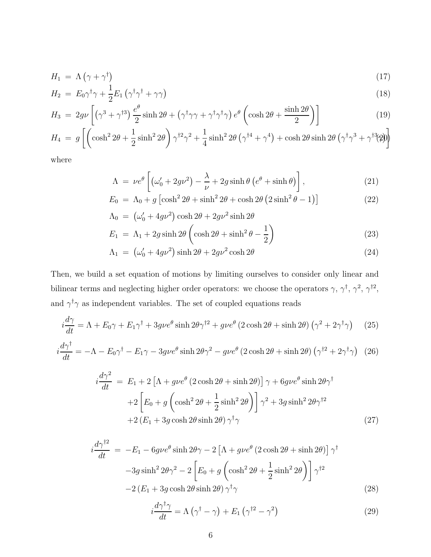$$
H_1 = \Lambda \left( \gamma + \gamma^{\dagger} \right) \tag{17}
$$

$$
H_2 = E_0 \gamma^{\dagger} \gamma + \frac{1}{2} E_1 \left( \gamma^{\dagger} \gamma^{\dagger} + \gamma \gamma \right)
$$
\n(18)

$$
H_3 = 2g\nu \left[ \left( \gamma^3 + \gamma^{13} \right) \frac{e^{\theta}}{2} \sinh 2\theta + \left( \gamma^{\dagger} \gamma \gamma + \gamma^{\dagger} \gamma^{\dagger} \gamma \right) e^{\theta} \left( \cosh 2\theta + \frac{\sinh 2\theta}{2} \right) \right]
$$
(19)

$$
H_4 = g \left[ \left( \cosh^2 2\theta + \frac{1}{2} \sinh^2 2\theta \right) \gamma^{\dagger 2} \gamma^2 + \frac{1}{4} \sinh^2 2\theta \left( \gamma^{\dagger 4} + \gamma^4 \right) + \cosh 2\theta \sinh 2\theta \left( \gamma^{\dagger} \gamma^3 + \gamma^{\dagger 3} \gamma^2 \right) \right]
$$

where

$$
\Lambda = \nu e^{\theta} \left[ \left( \omega_0' + 2g\nu^2 \right) - \frac{\lambda}{\nu} + 2g \sinh \theta \left( e^{\theta} + \sinh \theta \right) \right],\tag{21}
$$

$$
E_0 = \Lambda_0 + g \left[ \cosh^2 2\theta + \sinh^2 2\theta + \cosh 2\theta \left( 2\sinh^2 \theta - 1 \right) \right]
$$
 (22)

$$
\Lambda_0 = (\omega_0' + 4g\nu^2) \cosh 2\theta + 2g\nu^2 \sinh 2\theta
$$
  
\n
$$
E_1 = \Lambda_1 + 2g \sinh 2\theta \left( \cosh 2\theta + \sinh^2 \theta - \frac{1}{2} \right)
$$
\n(23)

$$
\Lambda_1 = (\omega_0' + 4g\nu^2)\sinh 2\theta + 2g\nu^2\cosh 2\theta \tag{24}
$$

Then, we build a set equation of motions by limiting ourselves to consider only linear and bilinear terms and neglecting higher order operators: we choose the operators  $\gamma$ ,  $\gamma^{\dagger}$ ,  $\gamma^2$ ,  $\gamma^{\dagger 2}$ , and  $\gamma^{\dagger}\gamma$  as independent variables. The set of coupled equations reads

$$
i\frac{d\gamma}{dt} = \Lambda + E_0 \gamma + E_1 \gamma^{\dagger} + 3g\nu e^{\theta} \sinh 2\theta \gamma^{\dagger 2} + g\nu e^{\theta} (2\cosh 2\theta + \sinh 2\theta) (\gamma^2 + 2\gamma^{\dagger} \gamma) \tag{25}
$$

$$
i\frac{d\gamma^{\dagger}}{dt} = -\Lambda - E_0 \gamma^{\dagger} - E_1 \gamma - 3g\nu e^{\theta} \sinh 2\theta \gamma^2 - g\nu e^{\theta} (2\cosh 2\theta + \sinh 2\theta) (\gamma^{\dagger 2} + 2\gamma^{\dagger} \gamma) (26)
$$

$$
i\frac{d\gamma^2}{dt} = E_1 + 2\left[\Lambda + g\nu e^{\theta} \left(2\cosh 2\theta + \sinh 2\theta\right)\right] \gamma + 6g\nu e^{\theta}\sinh 2\theta \gamma^{\dagger} + 2\left[E_0 + g\left(\cosh^2 2\theta + \frac{1}{2}\sinh^2 2\theta\right)\right] \gamma^2 + 3g\sinh^2 2\theta \gamma^{\dagger 2} + 2\left(E_1 + 3g\cosh 2\theta\sinh 2\theta\right) \gamma^{\dagger} \gamma
$$
 (27)

$$
i\frac{d\gamma^{\dagger 2}}{dt} = -E_1 - 6g\nu e^{\theta}\sinh 2\theta\gamma - 2\left[\Lambda + g\nu e^{\theta}\left(2\cosh 2\theta + \sinh 2\theta\right)\right]\gamma^{\dagger} -3g\sinh^2 2\theta\gamma^2 - 2\left[E_0 + g\left(\cosh^2 2\theta + \frac{1}{2}\sinh^2 2\theta\right)\right]\gamma^{\dagger 2} -2\left(E_1 + 3g\cosh 2\theta\sinh 2\theta\right)\gamma^{\dagger}\gamma
$$
\n(28)

$$
i\frac{d\gamma^{\dagger}\gamma}{dt} = \Lambda\left(\gamma^{\dagger} - \gamma\right) + E_1\left(\gamma^{\dagger 2} - \gamma^2\right)
$$
\n(29)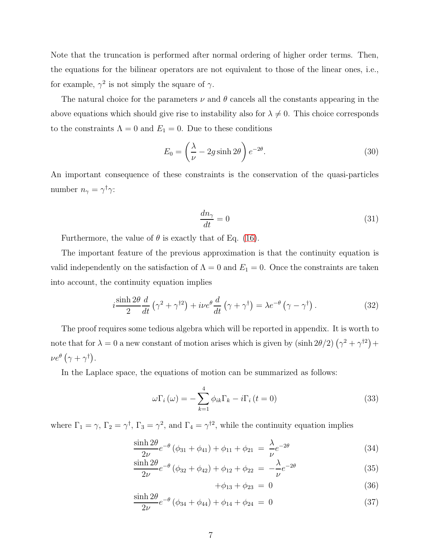Note that the truncation is performed after normal ordering of higher order terms. Then, the equations for the bilinear operators are not equivalent to those of the linear ones, i.e., for example,  $\gamma^2$  is not simply the square of  $\gamma$ .

The natural choice for the parameters  $\nu$  and  $\theta$  cancels all the constants appearing in the above equations which should give rise to instability also for  $\lambda \neq 0$ . This choice corresponds to the constraints  $\Lambda = 0$  and  $E_1 = 0$ . Due to these conditions

<span id="page-6-0"></span>
$$
E_0 = \left(\frac{\lambda}{\nu} - 2g\sinh 2\theta\right)e^{-2\theta}.\tag{30}
$$

An important consequence of these constraints is the conservation of the quasi-particles number  $n_{\gamma} = \gamma^{\dagger} \gamma$ :

$$
\frac{dn_{\gamma}}{dt} = 0\tag{31}
$$

Furthermore, the value of  $\theta$  is exactly that of Eq. [\(16\)](#page-4-1).

The important feature of the previous approximation is that the continuity equation is valid independently on the satisfaction of  $\Lambda = 0$  and  $E_1 = 0$ . Once the constraints are taken into account, the continuity equation implies

$$
i\frac{\sinh 2\theta}{2}\frac{d}{dt}\left(\gamma^2 + \gamma^{\dagger 2}\right) + i\nu e^{\theta}\frac{d}{dt}\left(\gamma + \gamma^{\dagger}\right) = \lambda e^{-\theta}\left(\gamma - \gamma^{\dagger}\right). \tag{32}
$$

The proof requires some tedious algebra which will be reported in appendix. It is worth to note that for  $\lambda = 0$  a new constant of motion arises which is given by  $(\sinh 2\theta/2) (\gamma^2 + \gamma^{\dagger 2}) +$  $\nu e^{\theta} (\gamma + \gamma^{\dagger}).$ 

In the Laplace space, the equations of motion can be summarized as follows:

$$
\omega\Gamma_i\left(\omega\right) = -\sum_{k=1}^4 \phi_{ik}\Gamma_k - i\Gamma_i\left(t=0\right) \tag{33}
$$

where  $\Gamma_1 = \gamma$ ,  $\Gamma_2 = \gamma^{\dagger}$ ,  $\Gamma_3 = \gamma^2$ , and  $\Gamma_4 = \gamma^{\dagger 2}$ , while the continuity equation implies

$$
\frac{\sinh 2\theta}{2\nu}e^{-\theta}(\phi_{31} + \phi_{41}) + \phi_{11} + \phi_{21} = \frac{\lambda}{\nu}e^{-2\theta}
$$
 (34)

$$
\frac{\sinh 2\theta}{2\nu}e^{-\theta}(\phi_{32} + \phi_{42}) + \phi_{12} + \phi_{22} = -\frac{\lambda}{\nu}e^{-2\theta}
$$
\n(35)

$$
+\phi_{13} + \phi_{23} = 0 \tag{36}
$$

$$
+\varphi_{13} + \varphi_{23} = 0
$$
\n
$$
\frac{\sinh 2\theta}{2\nu}e^{-\theta}(\phi_{34} + \phi_{44}) + \phi_{14} + \phi_{24} = 0
$$
\n(37)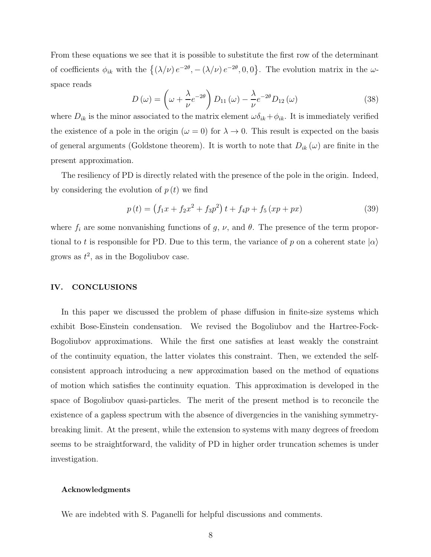From these equations we see that it is possible to substitute the first row of the determinant of coefficients  $\phi_{ik}$  with the  $\{(\lambda/\nu) e^{-2\theta}, -(\lambda/\nu) e^{-2\theta}, 0, 0\}$ . The evolution matrix in the  $\omega$ space reads

$$
D(\omega) = \left(\omega + \frac{\lambda}{\nu}e^{-2\theta}\right)D_{11}(\omega) - \frac{\lambda}{\nu}e^{-2\theta}D_{12}(\omega)
$$
\n(38)

where  $D_{ik}$  is the minor associated to the matrix element  $\omega \delta_{ik} + \phi_{ik}$ . It is immediately verified the existence of a pole in the origin ( $\omega = 0$ ) for  $\lambda \to 0$ . This result is expected on the basis of general arguments (Goldstone theorem). It is worth to note that  $D_{ik}(\omega)$  are finite in the present approximation.

The resiliency of PD is directly related with the presence of the pole in the origin. Indeed, by considering the evolution of  $p(t)$  we find

$$
p(t) = (f_1x + f_2x^2 + f_3p^2)t + f_4p + f_5(xp + px)
$$
\n(39)

where  $f_i$  are some nonvanishing functions of g,  $\nu$ , and  $\theta$ . The presence of the term proportional to t is responsible for PD. Due to this term, the variance of p on a coherent state  $|\alpha\rangle$ grows as  $t^2$ , as in the Bogoliubov case.

#### <span id="page-7-0"></span>IV. CONCLUSIONS

In this paper we discussed the problem of phase diffusion in finite-size systems which exhibit Bose-Einstein condensation. We revised the Bogoliubov and the Hartree-Fock-Bogoliubov approximations. While the first one satisfies at least weakly the constraint of the continuity equation, the latter violates this constraint. Then, we extended the selfconsistent approach introducing a new approximation based on the method of equations of motion which satisfies the continuity equation. This approximation is developed in the space of Bogoliubov quasi-particles. The merit of the present method is to reconcile the existence of a gapless spectrum with the absence of divergencies in the vanishing symmetrybreaking limit. At the present, while the extension to systems with many degrees of freedom seems to be straightforward, the validity of PD in higher order truncation schemes is under investigation.

#### Acknowledgments

We are indebted with S. Paganelli for helpful discussions and comments.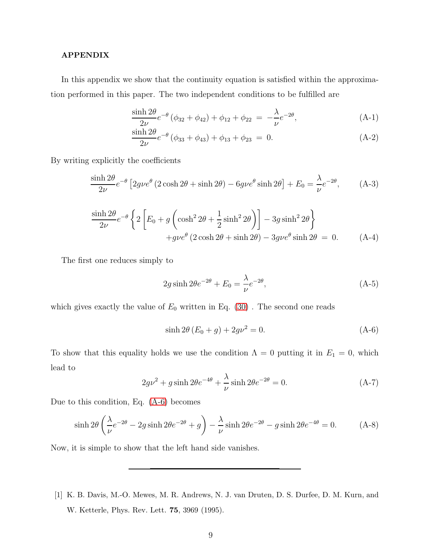### APPENDIX

In this appendix we show that the continuity equation is satisfied within the approximation performed in this paper. The two independent conditions to be fulfilled are

$$
\frac{\sinh 2\theta}{2\nu}e^{-\theta}(\phi_{32} + \phi_{42}) + \phi_{12} + \phi_{22} = -\frac{\lambda}{\nu}e^{-2\theta},\tag{A-1}
$$

$$
\frac{\sinh 2\theta}{2\nu}e^{-\theta}(\phi_{33} + \phi_{43}) + \phi_{13} + \phi_{23} = 0.
$$
 (A-2)

By writing explicitly the coefficients

$$
\frac{\sinh 2\theta}{2\nu}e^{-\theta}\left[2g\nu e^{\theta}\left(2\cosh 2\theta + \sinh 2\theta\right) - 6g\nu e^{\theta}\sinh 2\theta\right] + E_0 = \frac{\lambda}{\nu}e^{-2\theta},\tag{A-3}
$$

$$
\frac{\sinh 2\theta}{2\nu}e^{-\theta}\left\{2\left[E_0+g\left(\cosh^2 2\theta+\frac{1}{2}\sinh^2 2\theta\right)\right]-3g\sinh^2 2\theta\right\}
$$

$$
+g\nu e^{\theta}\left(2\cosh 2\theta+\sinh 2\theta\right)-3g\nu e^{\theta}\sinh 2\theta=0.\tag{A-4}
$$

The first one reduces simply to

$$
2g\sinh 2\theta e^{-2\theta} + E_0 = \frac{\lambda}{\nu} e^{-2\theta},\tag{A-5}
$$

which gives exactly the value of  $E_0$  written in Eq. [\(30\)](#page-6-0). The second one reads

<span id="page-8-1"></span>
$$
\sinh 2\theta (E_0 + g) + 2g\nu^2 = 0.
$$
 (A-6)

To show that this equality holds we use the condition  $\Lambda = 0$  putting it in  $E_1 = 0$ , which lead to

$$
2g\nu^2 + g\sinh 2\theta e^{-4\theta} + \frac{\lambda}{\nu}\sinh 2\theta e^{-2\theta} = 0.
$$
 (A-7)

Due to this condition, Eq. [\(A-6\)](#page-8-1) becomes

$$
\sinh 2\theta \left(\frac{\lambda}{\nu}e^{-2\theta} - 2g\sinh 2\theta e^{-2\theta} + g\right) - \frac{\lambda}{\nu}\sinh 2\theta e^{-2\theta} - g\sinh 2\theta e^{-4\theta} = 0. \tag{A-8}
$$

Now, it is simple to show that the left hand side vanishes.

<span id="page-8-0"></span>[1] K. B. Davis, M.-O. Mewes, M. R. Andrews, N. J. van Druten, D. S. Durfee, D. M. Kurn, and W. Ketterle, Phys. Rev. Lett. 75, 3969 (1995).